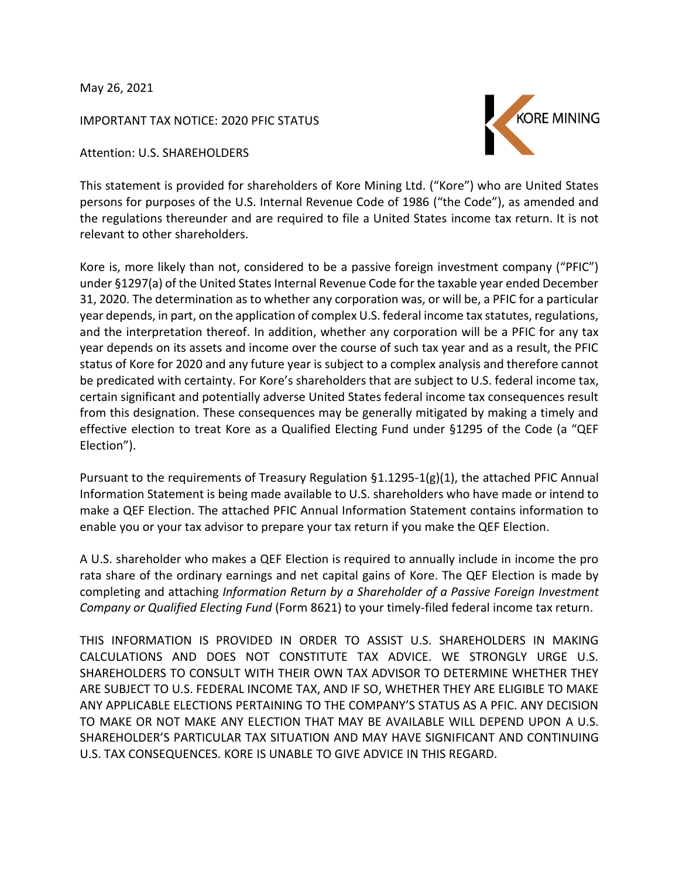May 26, 2021

IMPORTANT TAX NOTICE: 2020 PFIC STATUS

Attention: U.S. SHAREHOLDERS



This statement is provided for shareholders of Kore Mining Ltd. ("Kore") who are United States persons for purposes of the U.S. Internal Revenue Code of 1986 ("the Code"), as amended and the regulations thereunder and are required to file a United States income tax return. It is not relevant to other shareholders.

Kore is, more likely than not, considered to be a passive foreign investment company ("PFIC") under §1297(a) of the United States Internal Revenue Code for the taxable year ended December 31, 2020. The determination as to whether any corporation was, or will be, a PFIC for a particular year depends, in part, on the application of complex U.S. federal income tax statutes, regulations, and the interpretation thereof. In addition, whether any corporation will be a PFIC for any tax year depends on its assets and income over the course of such tax year and as a result, the PFIC status of Kore for 2020 and any future year is subject to a complex analysis and therefore cannot be predicated with certainty. For Kore's shareholders that are subject to U.S. federal income tax, certain significant and potentially adverse United States federal income tax consequences result from this designation. These consequences may be generally mitigated by making a timely and effective election to treat Kore as a Qualified Electing Fund under §1295 of the Code (a "QEF Election").

Pursuant to the requirements of Treasury Regulation  $\S 1.1295-1(g)(1)$ , the attached PFIC Annual Information Statement is being made available to U.S. shareholders who have made or intend to make a QEF Election. The attached PFIC Annual Information Statement contains information to enable you or your tax advisor to prepare your tax return if you make the QEF Election.

A U.S. shareholder who makes a QEF Election is required to annually include in income the pro rata share of the ordinary earnings and net capital gains of Kore. The QEF Election is made by completing and attaching *Information Return by a Shareholder of a Passive Foreign Investment Company or Qualified Electing Fund* (Form 8621) to your timely-filed federal income tax return.

THIS INFORMATION IS PROVIDED IN ORDER TO ASSIST U.S. SHAREHOLDERS IN MAKING CALCULATIONS AND DOES NOT CONSTITUTE TAX ADVICE. WE STRONGLY URGE U.S. SHAREHOLDERS TO CONSULT WITH THEIR OWN TAX ADVISOR TO DETERMINE WHETHER THEY ARE SUBJECT TO U.S. FEDERAL INCOME TAX, AND IF SO, WHETHER THEY ARE ELIGIBLE TO MAKE ANY APPLICABLE ELECTIONS PERTAINING TO THE COMPANY'S STATUS AS A PFIC. ANY DECISION TO MAKE OR NOT MAKE ANY ELECTION THAT MAY BE AVAILABLE WILL DEPEND UPON A U.S. SHAREHOLDER'S PARTICULAR TAX SITUATION AND MAY HAVE SIGNIFICANT AND CONTINUING U.S. TAX CONSEQUENCES. KORE IS UNABLE TO GIVE ADVICE IN THIS REGARD.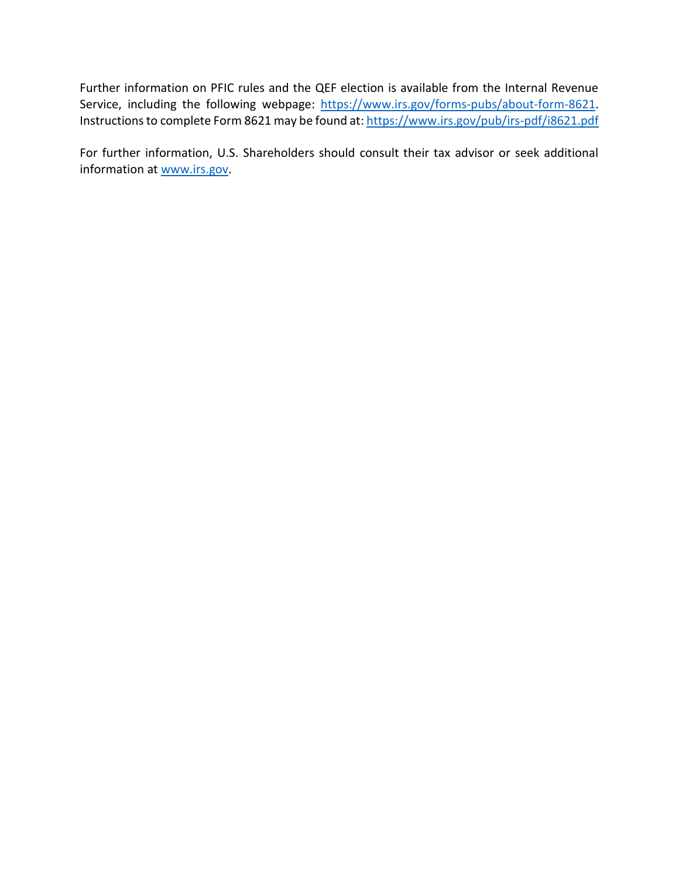Further information on PFIC rules and the QEF election is available from the Internal Revenue Service, including the following webpage: https://www.irs.gov/forms-pubs/about-form-8621. Instructions to complete Form 8621 may be found at: https://www.irs.gov/pub/irs-pdf/i8621.pdf

For further information, U.S. Shareholders should consult their tax advisor or seek additional information at [www.irs.gov.](http://www.irs.gov/)